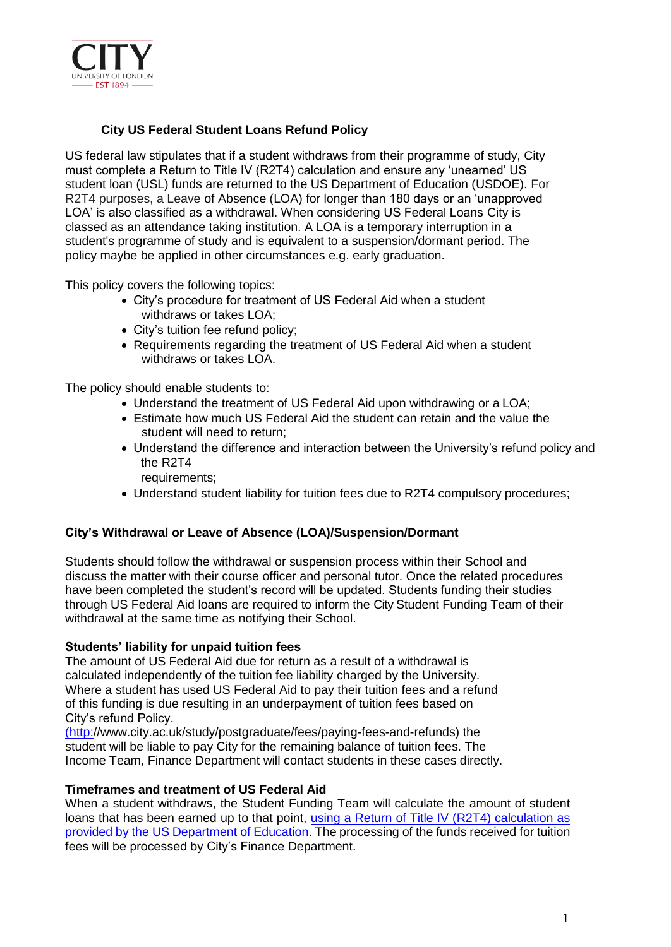

# **City US Federal Student Loans Refund Policy**

US federal law stipulates that if a student withdraws from their programme of study, City must complete a Return to Title IV (R2T4) calculation and ensure any 'unearned' US student loan (USL) funds are returned to the US Department of Education (USDOE). For R2T4 purposes, a Leave of Absence (LOA) for longer than 180 days or an 'unapproved LOA' is also classified as a withdrawal. When considering US Federal Loans City is classed as an attendance taking institution. A LOA is a temporary interruption in a student's programme of study and is equivalent to a suspension/dormant period. The policy maybe be applied in other circumstances e.g. early graduation.

This policy covers the following topics:

- City's procedure for treatment of US Federal Aid when a student withdraws or takes LOA;
- City's tuition fee refund policy;
- Requirements regarding the treatment of US Federal Aid when a student withdraws or takes LOA.

The policy should enable students to:

- Understand the treatment of US Federal Aid upon withdrawing or a LOA;
- Estimate how much US Federal Aid the student can retain and the value the student will need to return;
- Understand the difference and interaction between the University's refund policy and the R2T4

requirements;

• Understand student liability for tuition fees due to R2T4 compulsory procedures;

## **City's Withdrawal or Leave of Absence (LOA)/Suspension/Dormant**

Students should follow the withdrawal or suspension process within their School and discuss the matter with their course officer and personal tutor. Once the related procedures have been completed the student's record will be updated. Students funding their studies through US Federal Aid loans are required to inform the City Student Funding Team of their withdrawal at the same time as notifying their School.

## **Students' liability for unpaid tuition fees**

The amount of US Federal Aid due for return as a result of a withdrawal is calculated independently of the tuition fee liability charged by the University. Where a student has used US Federal Aid to pay their tuition fees and a refund of this funding is due resulting in an underpayment of tuition fees based on City's refund Policy.

[\(http:]((http:)[//www.city.ac.uk/study/postgraduate/fees/paying-fees-and-refunds\) t](http://www.city.ac.uk/study/postgraduate/fees/paying-fees-and-refunds))he student will be liable to pay City for the remaining balance of tuition fees. The Income Team, Finance Department will contact students in these cases directly.

## **Timeframes and treatment of US Federal Aid**

When a student withdraws, the Student Funding Team will calculate the amount of student loans that has been earned up to that point, [using a Return of Title IV \(R2T4\) calculation as](https://ifap.ed.gov/ifap/titleiv.jsp) provided by the US [Department](https://ifap.ed.gov/ifap/titleiv.jsp) of Education. The processing of the funds received for tuition fees will be processed by City's Finance Department.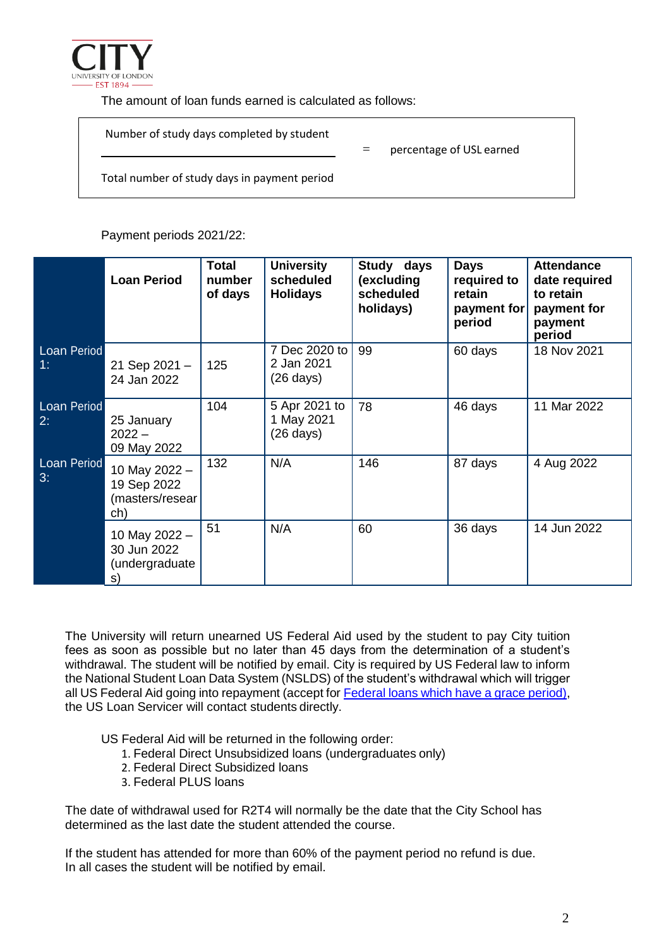

The amount of loan funds earned is calculated as follows:

| Number of study days completed by student    | percentage of USL earned |  |
|----------------------------------------------|--------------------------|--|
| Total number of study days in payment period |                          |  |

Payment periods 2021/22:

|                          | <b>Loan Period</b>                                      | <b>Total</b><br>number<br>of days | <b>University</b><br>scheduled<br><b>Holidays</b>  | Study days<br>(excluding<br>scheduled<br>holidays) | <b>Days</b><br>required to<br>retain<br>payment for<br>period | <b>Attendance</b><br>date required<br>to retain<br>payment for<br>payment<br>period |
|--------------------------|---------------------------------------------------------|-----------------------------------|----------------------------------------------------|----------------------------------------------------|---------------------------------------------------------------|-------------------------------------------------------------------------------------|
| <b>Loan Period</b><br>1: | 21 Sep 2021-<br>24 Jan 2022                             | 125                               | 7 Dec 2020 to<br>2 Jan 2021<br>$(26 \text{ days})$ | 99                                                 | 60 days                                                       | 18 Nov 2021                                                                         |
| Loan Period<br>2:        | 25 January<br>$2022 -$<br>09 May 2022                   | 104                               | 5 Apr 2021 to<br>1 May 2021<br>$(26 \text{ days})$ | 78                                                 | 46 days                                                       | 11 Mar 2022                                                                         |
| Loan Period<br>3:        | 10 May 2022 -<br>19 Sep 2022<br>(masters/resear)<br>ch) | 132                               | N/A                                                | 146                                                | 87 days                                                       | 4 Aug 2022                                                                          |
|                          | 10 May 2022 -<br>30 Jun 2022<br>(undergraduate<br>s)    | 51                                | N/A                                                | 60                                                 | 36 days                                                       | 14 Jun 2022                                                                         |

The University will return unearned US Federal Aid used by the student to pay City tuition fees as soon as possible but no later than 45 days from the determination of a student's withdrawal. The student will be notified by email. City is required by US Federal law to inform the National Student Loan Data System (NSLDS) of the student's withdrawal which will trigger all US Federal Aid going into repayment (accept for [Federal loans which have a grace period\)](https://studentaid.ed.gov/sa/repay-loans/understand), the US Loan Servicer will contact students directly.

US Federal Aid will be returned in the following order:

- 1. Federal Direct Unsubsidized loans (undergraduates only)
- 2. Federal Direct Subsidized loans
- 3. Federal PLUS loans

The date of withdrawal used for R2T4 will normally be the date that the City School has determined as the last date the student attended the course.

If the student has attended for more than 60% of the payment period no refund is due. In all cases the student will be notified by email.